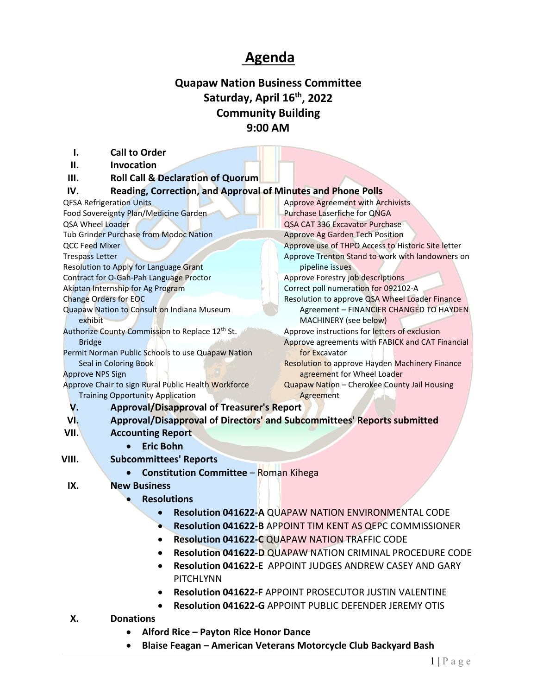## **Agenda**

## **Quapaw Nation Business Committee** Saturday, April 16<sup>th</sup>, 2022 **Community Building 9:00 AM**

| Ι.                                                                                                                                               | <b>Call to Order</b>                                                |                                                                         |
|--------------------------------------------------------------------------------------------------------------------------------------------------|---------------------------------------------------------------------|-------------------------------------------------------------------------|
| П.                                                                                                                                               | Invocation                                                          |                                                                         |
| Ш.                                                                                                                                               | <b>Roll Call &amp; Declaration of Quorum</b>                        |                                                                         |
| IV.                                                                                                                                              | <b>Reading, Correction, and Approval of Minutes and Phone Polls</b> |                                                                         |
|                                                                                                                                                  | <b>QFSA Refrigeration Units</b>                                     | <b>Approve Agreement with Archivists</b>                                |
| Food Sovereignty Plan/Medicine Garden                                                                                                            |                                                                     | <b>Purchase Laserfiche for QNGA</b>                                     |
| QSA Wheel Loader                                                                                                                                 |                                                                     | QSA CAT 336 Excavator Purchase                                          |
| Tub Grinder Purchase from Modoc Nation                                                                                                           |                                                                     | <b>Approve Ag Garden Tech Position</b>                                  |
| <b>QCC Feed Mixer</b>                                                                                                                            |                                                                     | Approve use of THPO Access to Historic Site letter                      |
| <b>Trespass Letter</b>                                                                                                                           |                                                                     | Approve Trenton Stand to work with landowners on                        |
| Resolution to Apply for Language Grant                                                                                                           |                                                                     | pipeline issues                                                         |
| Contract for O-Gah-Pah Language Proctor                                                                                                          |                                                                     | Approve Forestry job descriptions                                       |
| Akiptan Internship for Ag Program                                                                                                                |                                                                     | Correct poll numeration for 092102-A                                    |
| <b>Change Orders for EOC</b>                                                                                                                     |                                                                     | Resolution to approve QSA Wheel Loader Finance                          |
| Quapaw Nation to Consult on Indiana Museum                                                                                                       |                                                                     | Agreement - FINANCIER CHANGED TO HAYDEN                                 |
| exhibit                                                                                                                                          |                                                                     | MACHINERY (see below)                                                   |
| Authorize County Commission to Replace 12th St.                                                                                                  |                                                                     | Approve instructions for letters of exclusion                           |
| <b>Bridge</b>                                                                                                                                    |                                                                     | Approve agreements with FABICK and CAT Financial                        |
| Permit Norman Public Schools to use Quapaw Nation                                                                                                |                                                                     | for Excavator                                                           |
| Seal in Coloring Book                                                                                                                            |                                                                     | <b>Resolution to approve Hayden Machinery Finance</b>                   |
|                                                                                                                                                  | <b>Approve NPS Sign</b>                                             | agreement for Wheel Loader                                              |
| Approve Chair to sign Rural Public Health Workforce                                                                                              |                                                                     | Quapaw Nation - Cherokee County Jail Housing                            |
|                                                                                                                                                  | <b>Training Opportunity Application</b>                             | Agreement                                                               |
| V.                                                                                                                                               | <b>Approval/Disapproval of Treasurer's Report</b>                   |                                                                         |
| VI.                                                                                                                                              |                                                                     | Approval/Disapproval of Directors' and Subcommittees' Reports submitted |
| VII.                                                                                                                                             | <b>Accounting Report</b>                                            |                                                                         |
|                                                                                                                                                  | <b>Eric Bohn</b><br>$\bullet$                                       |                                                                         |
| VIII.                                                                                                                                            | <b>Subcommittees' Reports</b>                                       |                                                                         |
|                                                                                                                                                  | <b>Constitution Committee - Roman Kihega</b>                        |                                                                         |
| IX.                                                                                                                                              | <b>New Business</b>                                                 |                                                                         |
|                                                                                                                                                  |                                                                     |                                                                         |
|                                                                                                                                                  | <b>Resolutions</b>                                                  |                                                                         |
|                                                                                                                                                  |                                                                     | <b>Resolution 041622-A QUAPAW NATION ENVIRONMENTAL CODE</b>             |
| Resolution 041622-B APPOINT TIM KENT AS QEPC COMMISSIONER                                                                                        |                                                                     |                                                                         |
|                                                                                                                                                  |                                                                     | <b>Resolution 041622-C QUAPAW NATION TRAFFIC CODE</b>                   |
| Resolution 041622-D QUAPAW NATION CRIMINAL PROCEDURE CODE<br><b>Resolution 041622-E APPOINT JUDGES ANDREW CASEY AND GARY</b><br><b>PITCHLYNN</b> |                                                                     |                                                                         |
|                                                                                                                                                  |                                                                     |                                                                         |
|                                                                                                                                                  |                                                                     |                                                                         |
|                                                                                                                                                  |                                                                     |                                                                         |
|                                                                                                                                                  |                                                                     | <b>Resolution 041622-F APPOINT PROSECUTOR JUSTIN VALENTINE</b>          |
|                                                                                                                                                  |                                                                     | <b>Resolution 041622-G APPOINT PUBLIC DEFENDER JEREMY OTIS</b>          |
| х.                                                                                                                                               | <b>Donations</b>                                                    |                                                                         |
|                                                                                                                                                  | Alford Dies - Douton Dies Honor Dones                               |                                                                         |

- **Alford Rice – Payton Rice Honor Dance**
- **Blaise Feagan – American Veterans Motorcycle Club Backyard Bash**